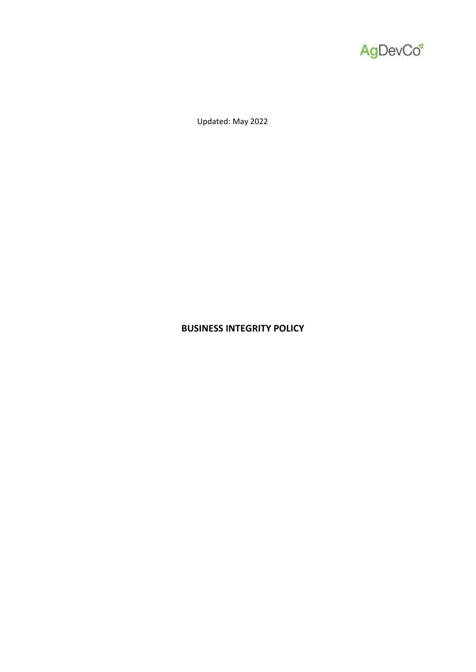

Updated: May 2022

# **BUSINESS INTEGRITY POLICY**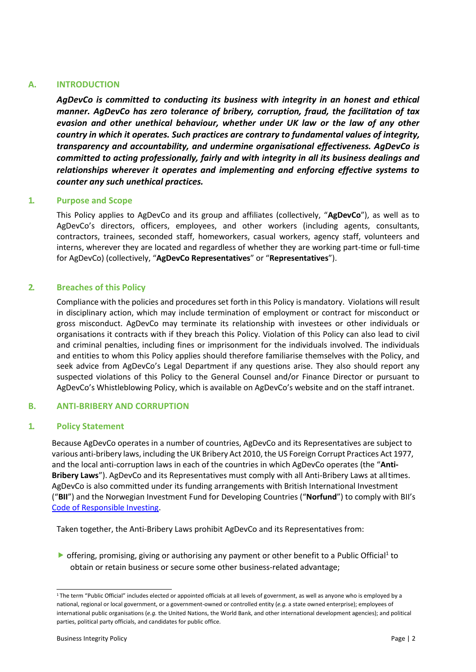# **A. INTRODUCTION**

*AgDevCo is committed to conducting its business with integrity in an honest and ethical manner. AgDevCo has zero tolerance of bribery, corruption, fraud, the facilitation of tax evasion and other unethical behaviour, whether under UK law or the law of any other country in which it operates. Such practices are contrary to fundamental values of integrity, transparency and accountability, and undermine organisational effectiveness. AgDevCo is committed to acting professionally, fairly and with integrity in all its business dealings and relationships wherever it operates and implementing and enforcing effective systems to counter any such unethical practices.*

### **1. Purpose and Scope**

This Policy applies to AgDevCo and its group and affiliates (collectively, "**AgDevCo**"), as well as to AgDevCo's directors, officers, employees, and other workers (including agents, consultants, contractors, trainees, seconded staff, homeworkers, casual workers, agency staff, volunteers and interns, wherever they are located and regardless of whether they are working part-time or full-time for AgDevCo) (collectively, "**AgDevCo Representatives**" or "**Representatives**").

## **2. Breaches of this Policy**

Compliance with the policies and procedures set forth in this Policy is mandatory. Violations will result in disciplinary action, which may include termination of employment or contract for misconduct or gross misconduct. AgDevCo may terminate its relationship with investees or other individuals or organisations it contracts with if they breach this Policy. Violation of this Policy can also lead to civil and criminal penalties, including fines or imprisonment for the individuals involved. The individuals and entities to whom this Policy applies should therefore familiarise themselves with the Policy, and seek advice from AgDevCo's Legal Department if any questions arise. They also should report any suspected violations of this Policy to the General Counsel and/or Finance Director or pursuant to AgDevCo's Whistleblowing Policy, which is available on AgDevCo's website and on the staff intranet.

# **B. ANTI-BRIBERY AND CORRUPTION**

### **1. Policy Statement**

Because AgDevCo operates in a number of countries, AgDevCo and its Representatives are subject to various anti-bribery laws, including the UK Bribery Act 2010, the US Foreign Corrupt Practices Act 1977, and the local anti-corruption laws in each of the countries in which AgDevCo operates (the "**Anti-Bribery Laws**"). AgDevCo and its Representatives must comply with all Anti-Bribery Laws at alltimes. AgDevCo is also committed under its funding arrangements with British International Investment ("**BII**") and the Norwegian Investment Fund for Developing Countries ("**Norfund**") to comply with BII's [Code of Responsible Investing.](https://toolkit.bii.co.uk/wp-content/uploads/2018/10/Code_of_Responsible_Investing_March_2017_UPDATE3-1.pdf)

Taken together, the Anti-Bribery Laws prohibit AgDevCo and its Representatives from:

▶ offering, promising, giving or authorising any payment or other benefit to a Public Official<sup>1</sup> to obtain or retain business or secure some other business-related advantage;

<sup>1</sup>The term "Public Official" includes elected or appointed officials at all levels of government, as well as anyone who is employed by a national, regional or local government, or a government-owned or controlled entity (*e.g.* a state owned enterprise); employees of international public organisations (*e.g.* the United Nations, the World Bank, and other international development agencies); and political parties, political party officials, and candidates for public office.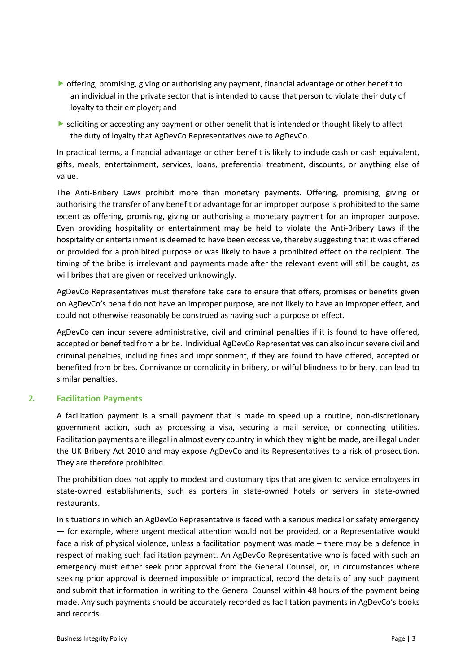- offering, promising, giving or authorising any payment, financial advantage or other benefit to an individual in the private sector that is intended to cause that person to violate their duty of loyalty to their employer; and
- soliciting or accepting any payment or other benefit that is intended or thought likely to affect the duty of loyalty that AgDevCo Representatives owe to AgDevCo.

In practical terms, a financial advantage or other benefit is likely to include cash or cash equivalent, gifts, meals, entertainment, services, loans, preferential treatment, discounts, or anything else of value.

The Anti-Bribery Laws prohibit more than monetary payments. Offering, promising, giving or authorising the transfer of any benefit or advantage for an improper purpose is prohibited to the same extent as offering, promising, giving or authorising a monetary payment for an improper purpose. Even providing hospitality or entertainment may be held to violate the Anti-Bribery Laws if the hospitality or entertainment is deemed to have been excessive, thereby suggesting that it was offered or provided for a prohibited purpose or was likely to have a prohibited effect on the recipient. The timing of the bribe is irrelevant and payments made after the relevant event will still be caught, as will bribes that are given or received unknowingly.

AgDevCo Representatives must therefore take care to ensure that offers, promises or benefits given on AgDevCo's behalf do not have an improper purpose, are not likely to have an improper effect, and could not otherwise reasonably be construed as having such a purpose or effect.

AgDevCo can incur severe administrative, civil and criminal penalties if it is found to have offered, accepted or benefited from a bribe. Individual AgDevCo Representatives can also incur severe civil and criminal penalties, including fines and imprisonment, if they are found to have offered, accepted or benefited from bribes. Connivance or complicity in bribery, or wilful blindness to bribery, can lead to similar penalties.

# **2. Facilitation Payments**

A facilitation payment is a small payment that is made to speed up a routine, non-discretionary government action, such as processing a visa, securing a mail service, or connecting utilities. Facilitation payments are illegal in almost every country in which they might be made, are illegal under the UK Bribery Act 2010 and may expose AgDevCo and its Representatives to a risk of prosecution. They are therefore prohibited.

The prohibition does not apply to modest and customary tips that are given to service employees in state-owned establishments, such as porters in state-owned hotels or servers in state-owned restaurants.

In situations in which an AgDevCo Representative is faced with a serious medical or safety emergency — for example, where urgent medical attention would not be provided, or a Representative would face a risk of physical violence, unless a facilitation payment was made – there may be a defence in respect of making such facilitation payment. An AgDevCo Representative who is faced with such an emergency must either seek prior approval from the General Counsel, or, in circumstances where seeking prior approval is deemed impossible or impractical, record the details of any such payment and submit that information in writing to the General Counsel within 48 hours of the payment being made. Any such payments should be accurately recorded as facilitation payments in AgDevCo's books and records.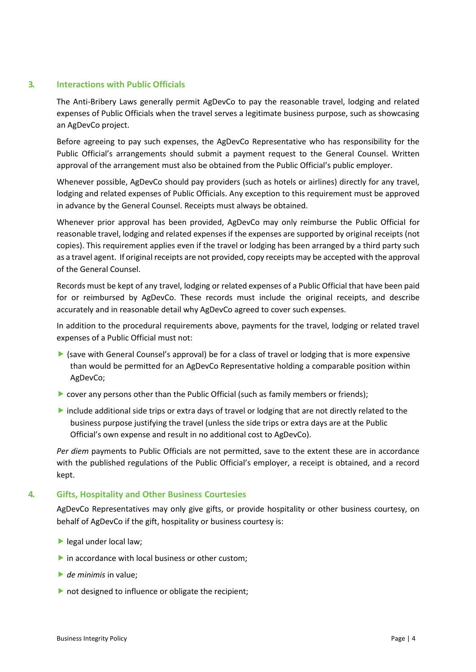## **3. Interactions with Public Officials**

The Anti-Bribery Laws generally permit AgDevCo to pay the reasonable travel, lodging and related expenses of Public Officials when the travel serves a legitimate business purpose, such as showcasing an AgDevCo project.

Before agreeing to pay such expenses, the AgDevCo Representative who has responsibility for the Public Official's arrangements should submit a payment request to the General Counsel. Written approval of the arrangement must also be obtained from the Public Official's public employer.

Whenever possible, AgDevCo should pay providers (such as hotels or airlines) directly for any travel, lodging and related expenses of Public Officials. Any exception to this requirement must be approved in advance by the General Counsel. Receipts must always be obtained.

Whenever prior approval has been provided, AgDevCo may only reimburse the Public Official for reasonable travel, lodging and related expenses if the expenses are supported by original receipts (not copies). This requirement applies even if the travel or lodging has been arranged by a third party such as a travel agent. If original receipts are not provided, copy receipts may be accepted with the approval of the General Counsel.

Records must be kept of any travel, lodging or related expenses of a Public Official that have been paid for or reimbursed by AgDevCo. These records must include the original receipts, and describe accurately and in reasonable detail why AgDevCo agreed to cover such expenses.

In addition to the procedural requirements above, payments for the travel, lodging or related travel expenses of a Public Official must not:

- (save with General Counsel's approval) be for a class of travel or lodging that is more expensive than would be permitted for an AgDevCo Representative holding a comparable position within AgDevCo;
- **Cover any persons other than the Public Official (such as family members or friends);**
- include additional side trips or extra days of travel or lodging that are not directly related to the business purpose justifying the travel (unless the side trips or extra days are at the Public Official's own expense and result in no additional cost to AgDevCo).

*Per diem* payments to Public Officials are not permitted, save to the extent these are in accordance with the published regulations of the Public Official's employer, a receipt is obtained, and a record kept.

# **4. Gifts, Hospitality and Other Business Courtesies**

AgDevCo Representatives may only give gifts, or provide hospitality or other business courtesy, on behalf of AgDevCo if the gift, hospitality or business courtesy is:

- legal under local law;
- $\triangleright$  in accordance with local business or other custom;
- *de minimis in value;*
- not designed to influence or obligate the recipient;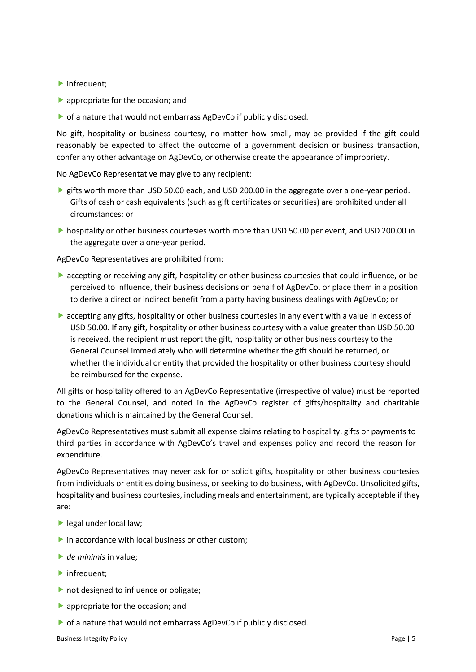- ▶ infrequent;
- **•** appropriate for the occasion; and
- of a nature that would not embarrass AgDevCo if publicly disclosed.

No gift, hospitality or business courtesy, no matter how small, may be provided if the gift could reasonably be expected to affect the outcome of a government decision or business transaction, confer any other advantage on AgDevCo, or otherwise create the appearance of impropriety.

No AgDevCo Representative may give to any recipient:

- **S** gifts worth more than USD 50.00 each, and USD 200.00 in the aggregate over a one-year period. Gifts of cash or cash equivalents (such as gift certificates or securities) are prohibited under all circumstances; or
- hospitality or other business courtesies worth more than USD 50.00 per event, and USD 200.00 in the aggregate over a one-year period.

AgDevCo Representatives are prohibited from:

- **•** accepting or receiving any gift, hospitality or other business courtesies that could influence, or be perceived to influence, their business decisions on behalf of AgDevCo, or place them in a position to derive a direct or indirect benefit from a party having business dealings with AgDevCo; or
- **Exercise 3** accepting any gifts, hospitality or other business courtesies in any event with a value in excess of USD 50.00. If any gift, hospitality or other business courtesy with a value greater than USD 50.00 is received, the recipient must report the gift, hospitality or other business courtesy to the General Counsel immediately who will determine whether the gift should be returned, or whether the individual or entity that provided the hospitality or other business courtesy should be reimbursed for the expense.

All gifts or hospitality offered to an AgDevCo Representative (irrespective of value) must be reported to the General Counsel, and noted in the AgDevCo register of gifts/hospitality and charitable donations which is maintained by the General Counsel.

AgDevCo Representatives must submit all expense claims relating to hospitality, gifts or payments to third parties in accordance with AgDevCo's travel and expenses policy and record the reason for expenditure.

AgDevCo Representatives may never ask for or solicit gifts, hospitality or other business courtesies from individuals or entities doing business, or seeking to do business, with AgDevCo. Unsolicited gifts, hospitality and business courtesies, including meals and entertainment, are typically acceptable if they are:

- legal under local law;
- $\triangleright$  in accordance with local business or other custom;
- *de minimis* in value;
- **h**infrequent;
- not designed to influence or obligate;
- **appropriate for the occasion; and**
- of a nature that would not embarrass AgDevCo if publicly disclosed.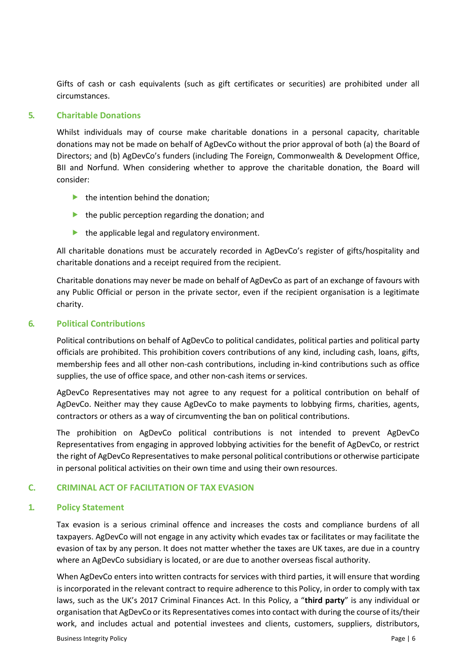Gifts of cash or cash equivalents (such as gift certificates or securities) are prohibited under all circumstances.

### **5. Charitable Donations**

Whilst individuals may of course make charitable donations in a personal capacity, charitable donations may not be made on behalf of AgDevCo without the prior approval of both (a) the Board of Directors; and (b) AgDevCo's funders (including The Foreign, Commonwealth & Development Office, BII and Norfund. When considering whether to approve the charitable donation, the Board will consider:

- $\blacktriangleright$  the intention behind the donation;
- $\blacktriangleright$  the public perception regarding the donation; and
- $\blacktriangleright$  the applicable legal and regulatory environment.

All charitable donations must be accurately recorded in AgDevCo's register of gifts/hospitality and charitable donations and a receipt required from the recipient.

Charitable donations may never be made on behalf of AgDevCo as part of an exchange of favours with any Public Official or person in the private sector, even if the recipient organisation is a legitimate charity.

### **6. Political Contributions**

Political contributions on behalf of AgDevCo to political candidates, political parties and political party officials are prohibited. This prohibition covers contributions of any kind, including cash, loans, gifts, membership fees and all other non-cash contributions, including in-kind contributions such as office supplies, the use of office space, and other non-cash items or services.

AgDevCo Representatives may not agree to any request for a political contribution on behalf of AgDevCo. Neither may they cause AgDevCo to make payments to lobbying firms, charities, agents, contractors or others as a way of circumventing the ban on political contributions.

The prohibition on AgDevCo political contributions is not intended to prevent AgDevCo Representatives from engaging in approved lobbying activities for the benefit of AgDevCo, or restrict the right of AgDevCo Representatives to make personal political contributions or otherwise participate in personal political activities on their own time and using their own resources.

# **C. CRIMINAL ACT OF FACILITATION OF TAX EVASION**

### **1. Policy Statement**

Tax evasion is a serious criminal offence and increases the costs and compliance burdens of all taxpayers. AgDevCo will not engage in any activity which evades tax or facilitates or may facilitate the evasion of tax by any person. It does not matter whether the taxes are UK taxes, are due in a country where an AgDevCo subsidiary is located, or are due to another overseas fiscal authority.

When AgDevCo enters into written contracts for services with third parties, it will ensure that wording is incorporated in the relevant contract to require adherence to this Policy, in order to comply with tax laws, such as the UK's 2017 Criminal Finances Act. In this Policy, a "**third party**" is any individual or organisation that AgDevCo or its Representatives comes into contact with during the course of its/their work, and includes actual and potential investees and clients, customers, suppliers, distributors,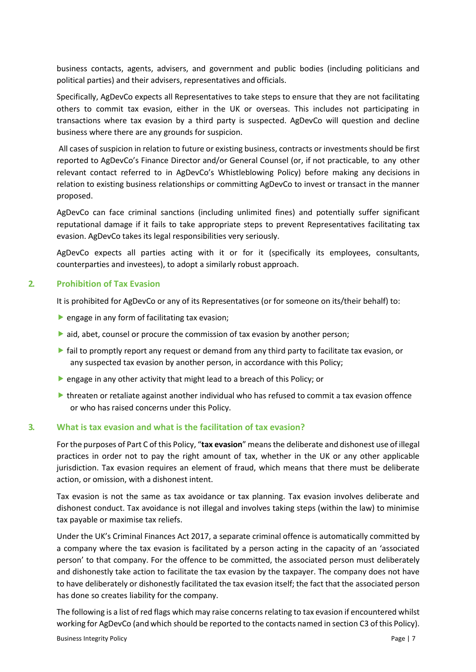business contacts, agents, advisers, and government and public bodies (including politicians and political parties) and their advisers, representatives and officials.

Specifically, AgDevCo expects all Representatives to take steps to ensure that they are not facilitating others to commit tax evasion, either in the UK or overseas. This includes not participating in transactions where tax evasion by a third party is suspected. AgDevCo will question and decline business where there are any grounds for suspicion.

All cases of suspicion in relation to future or existing business, contracts or investments should be first reported to AgDevCo's Finance Director and/or General Counsel (or, if not practicable, to any other relevant contact referred to in AgDevCo's Whistleblowing Policy) before making any decisions in relation to existing business relationships or committing AgDevCo to invest or transact in the manner proposed.

AgDevCo can face criminal sanctions (including unlimited fines) and potentially suffer significant reputational damage if it fails to take appropriate steps to prevent Representatives facilitating tax evasion. AgDevCo takes its legal responsibilities very seriously.

AgDevCo expects all parties acting with it or for it (specifically its employees, consultants, counterparties and investees), to adopt a similarly robust approach.

### **2. Prohibition of Tax Evasion**

It is prohibited for AgDevCo or any of its Representatives (or for someone on its/their behalf) to:

- $\blacktriangleright$  engage in any form of facilitating tax evasion;
- **aid, abet, counsel or procure the commission of tax evasion by another person;**
- $\blacktriangleright$  fail to promptly report any request or demand from any third party to facilitate tax evasion, or any suspected tax evasion by another person, in accordance with this Policy;
- **P** engage in any other activity that might lead to a breach of this Policy; or
- threaten or retaliate against another individual who has refused to commit a tax evasion offence or who has raised concerns under this Policy.

### **3. What is tax evasion and what is the facilitation of tax evasion?**

Forthe purposes of Part C of this Policy, "**tax evasion**" meansthe deliberate and dishonest use of illegal practices in order not to pay the right amount of tax, whether in the UK or any other applicable jurisdiction. Tax evasion requires an element of fraud, which means that there must be deliberate action, or omission, with a dishonest intent.

Tax evasion is not the same as tax avoidance or tax planning. Tax evasion involves deliberate and dishonest conduct. Tax avoidance is not illegal and involves taking steps (within the law) to minimise tax payable or maximise tax reliefs.

Under the UK's Criminal Finances Act 2017, a separate criminal offence is automatically committed by a company where the tax evasion is facilitated by a person acting in the capacity of an 'associated person' to that company. For the offence to be committed, the associated person must deliberately and dishonestly take action to facilitate the tax evasion by the taxpayer. The company does not have to have deliberately or dishonestly facilitated the tax evasion itself; the fact that the associated person has done so creates liability for the company.

The following is a list of red flags which may raise concerns relating to tax evasion if encountered whilst working for AgDevCo (and which should be reported to the contacts named in section C3 of this Policy).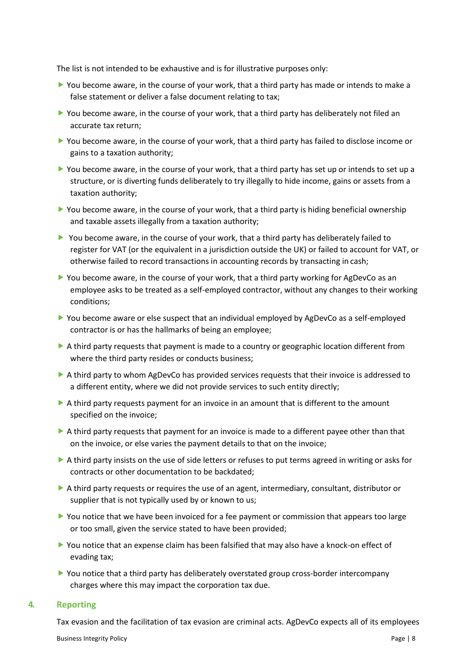The list is not intended to be exhaustive and is for illustrative purposes only:

- You become aware, in the course of your work, that a third party has made or intends to make a false statement or deliver a false document relating to tax;
- ▶ You become aware, in the course of your work, that a third party has deliberately not filed an accurate tax return;
- You become aware, in the course of your work, that a third party has failed to disclose income or gains to a taxation authority;
- You become aware, in the course of your work, that a third party has set up or intends to set up a structure, or is diverting funds deliberately to try illegally to hide income, gains or assets from a taxation authority;
- ▶ You become aware, in the course of your work, that a third party is hiding beneficial ownership and taxable assets illegally from a taxation authority;
- You become aware, in the course of your work, that a third party has deliberately failed to register for VAT (or the equivalent in a jurisdiction outside the UK) or failed to account for VAT, or otherwise failed to record transactions in accounting records by transacting in cash;
- ▶ You become aware, in the course of your work, that a third party working for AgDevCo as an employee asks to be treated as a self-employed contractor, without any changes to their working conditions;
- ▶ You become aware or else suspect that an individual employed by AgDevCo as a self-employed contractor is or has the hallmarks of being an employee;
- A third party requests that payment is made to a country or geographic location different from where the third party resides or conducts business;
- A third party to whom AgDevCo has provided services requests that their invoice is addressed to a different entity, where we did not provide services to such entity directly;
- A third party requests payment for an invoice in an amount that is different to the amount specified on the invoice;
- $\triangleright$  A third party requests that payment for an invoice is made to a different payee other than that on the invoice, or else varies the payment details to that on the invoice;
- A third party insists on the use of side letters or refuses to put terms agreed in writing or asks for contracts or other documentation to be backdated;
- A third party requests or requires the use of an agent, intermediary, consultant, distributor or supplier that is not typically used by or known to us;
- You notice that we have been invoiced for a fee payment or commission that appears too large or too small, given the service stated to have been provided;
- You notice that an expense claim has been falsified that may also have a knock-on effect of evading tax;
- You notice that a third party has deliberately overstated group cross-border intercompany charges where this may impact the corporation tax due.

#### **4. Reporting**

Tax evasion and the facilitation of tax evasion are criminal acts. AgDevCo expects all of its employees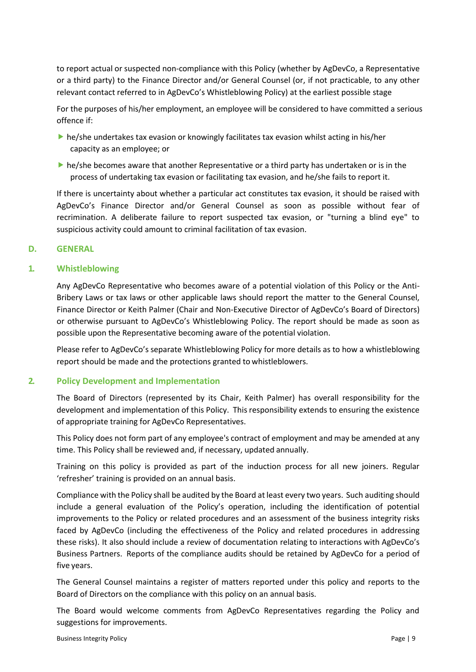to report actual or suspected non-compliance with this Policy (whether by AgDevCo, a Representative or a third party) to the Finance Director and/or General Counsel (or, if not practicable, to any other relevant contact referred to in AgDevCo's Whistleblowing Policy) at the earliest possible stage

For the purposes of his/her employment, an employee will be considered to have committed a serious offence if:

- he/she undertakes tax evasion or knowingly facilitates tax evasion whilst acting in his/her capacity as an employee; or
- he/she becomes aware that another Representative or a third party has undertaken or is in the process of undertaking tax evasion or facilitating tax evasion, and he/she fails to report it.

If there is uncertainty about whether a particular act constitutes tax evasion, it should be raised with AgDevCo's Finance Director and/or General Counsel as soon as possible without fear of recrimination. A deliberate failure to report suspected tax evasion, or "turning a blind eye" to suspicious activity could amount to criminal facilitation of tax evasion.

## **D. GENERAL**

## **1. Whistleblowing**

Any AgDevCo Representative who becomes aware of a potential violation of this Policy or the Anti-Bribery Laws or tax laws or other applicable laws should report the matter to the General Counsel, Finance Director or Keith Palmer (Chair and Non-Executive Director of AgDevCo's Board of Directors) or otherwise pursuant to AgDevCo's Whistleblowing Policy. The report should be made as soon as possible upon the Representative becoming aware of the potential violation.

Please refer to AgDevCo's separate Whistleblowing Policy for more details as to how a whistleblowing report should be made and the protections granted to whistleblowers.

### **2. Policy Development and Implementation**

The Board of Directors (represented by its Chair, Keith Palmer) has overall responsibility for the development and implementation of this Policy. This responsibility extends to ensuring the existence of appropriate training for AgDevCo Representatives.

This Policy does not form part of any employee's contract of employment and may be amended at any time. This Policy shall be reviewed and, if necessary, updated annually.

Training on this policy is provided as part of the induction process for all new joiners. Regular 'refresher' training is provided on an annual basis.

Compliance with the Policy shall be audited by the Board at least every two years. Such auditing should include a general evaluation of the Policy's operation, including the identification of potential improvements to the Policy or related procedures and an assessment of the business integrity risks faced by AgDevCo (including the effectiveness of the Policy and related procedures in addressing these risks). It also should include a review of documentation relating to interactions with AgDevCo's Business Partners. Reports of the compliance audits should be retained by AgDevCo for a period of five years.

The General Counsel maintains a register of matters reported under this policy and reports to the Board of Directors on the compliance with this policy on an annual basis.

The Board would welcome comments from AgDevCo Representatives regarding the Policy and suggestions for improvements.